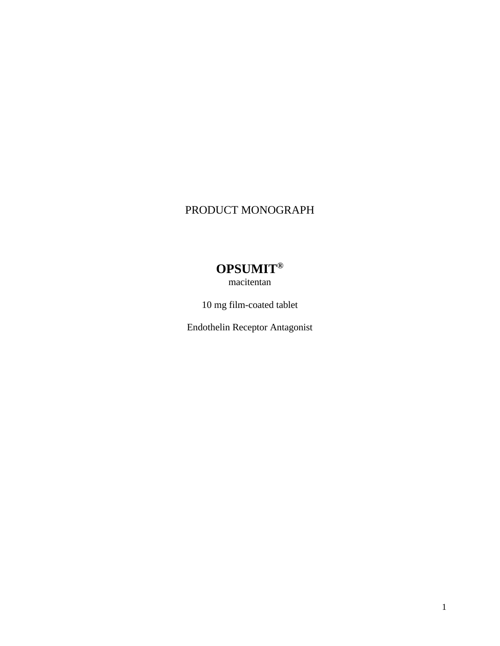## PRODUCT MONOGRAPH

# **OPSUMIT®**

macitentan

10 mg film-coated tablet

Endothelin Receptor Antagonist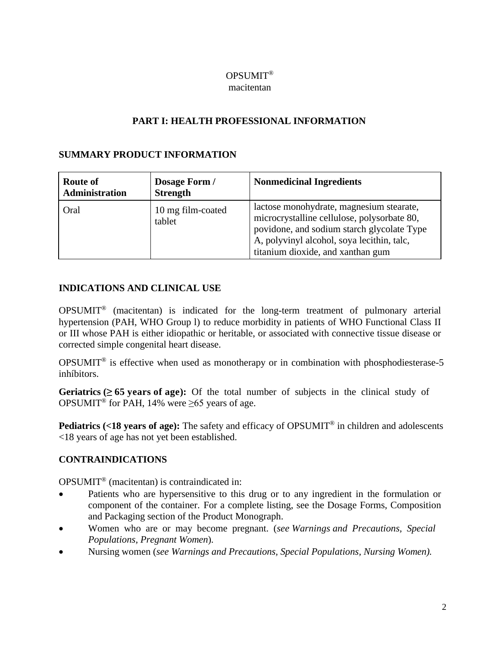## OPSUMIT®

#### macitentan

## **PART I: HEALTH PROFESSIONAL INFORMATION**

## **SUMMARY PRODUCT INFORMATION**

| <b>Route of</b><br><b>Administration</b> | Dosage Form /<br><b>Strength</b> | <b>Nonmedicinal Ingredients</b>                                                                                                                                                                                          |
|------------------------------------------|----------------------------------|--------------------------------------------------------------------------------------------------------------------------------------------------------------------------------------------------------------------------|
| Oral                                     | 10 mg film-coated<br>tablet      | lactose monohydrate, magnesium stearate,<br>microcrystalline cellulose, polysorbate 80,<br>povidone, and sodium starch glycolate Type<br>A, polyvinyl alcohol, soya lecithin, talc,<br>titanium dioxide, and xanthan gum |

## **INDICATIONS AND CLINICAL USE**

OPSUMIT® (macitentan) is indicated for the long-term treatment of pulmonary arterial hypertension (PAH, WHO Group l) to reduce morbidity in patients of WHO Functional Class II or III whose PAH is either idiopathic or heritable, or associated with connective tissue disease or corrected simple congenital heart disease.

OPSUMIT® is effective when used as monotherapy or in combination with phosphodiesterase-5 inhíbitors.

**Geriatrics** ( $\geq 65$  **years of age):** Of the total number of subjects in the clinical study of OPSUMIT<sup>®</sup> for PAH, 14% were  $\geq 65$  years of age.

**Pediatrics (<18 years of age):** The safety and efficacy of OPSUMIT® in children and adolescents <18 years of age has not yet been established.

## **CONTRAINDICATIONS**

OPSUMIT® (macitentan) is contraindicated in:

- Patients who are hypersensitive to this drug or to any ingredient in the formulation or component of the container. For a complete listing, see the Dosage Forms, Composition and Packaging section of the Product Monograph.
- Women who are or may become pregnant. (*see Warnings and Precautions, Special Populations, Pregnant Women*).
- Nursing women (*see Warnings and Precautions, Special Populations, Nursing Women).*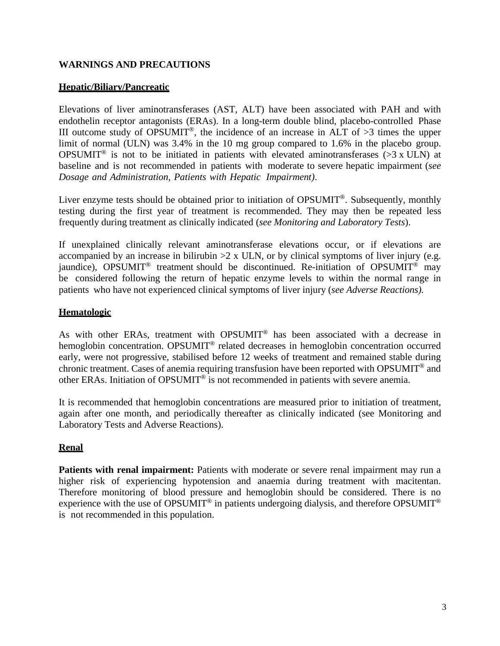## **WARNINGS AND PRECAUTIONS**

## **Hepatic/Biliary/Pancreatic**

Elevations of liver aminotransferases (AST, ALT) have been associated with PAH and with endothelin receptor antagonists (ERAs). In a long-term double blind, placebo-controlled Phase III outcome study of OPSUMIT<sup>®</sup>, the incidence of an increase in ALT of  $>3$  times the upper limit of normal (ULN) was 3.4% in the 10 mg group compared to 1.6% in the placebo group. OPSUMIT<sup>®</sup> is not to be initiated in patients with elevated aminotransferases ( $>3$  x ULN) at baseline and is not recommended in patients with moderate to severe hepatic impairment (*see Dosage and Administration, Patients with Hepatic Impairment)*.

Liver enzyme tests should be obtained prior to initiation of OPSUMIT®. Subsequently, monthly testing during the first year of treatment is recommended. They may then be repeated less frequently during treatment as clinically indicated (*see Monitoring and Laboratory Tests*).

If unexplained clinically relevant aminotransferase elevations occur, or if elevations are accompanied by an increase in bilirubin  $>2 \times$  ULN, or by clinical symptoms of liver injury (e.g. jaundice), OPSUMIT<sup>®</sup> treatment should be discontinued. Re-initiation of OPSUMIT<sup>®</sup> may be considered following the return of hepatic enzyme levels to within the normal range in patients who have not experienced clinical symptoms of liver injury (*see Adverse Reactions).*

## **Hematologic**

As with other ERAs, treatment with OPSUMIT<sup>®</sup> has been associated with a decrease in hemoglobin concentration. OPSUMIT<sup>®</sup> related decreases in hemoglobin concentration occurred early, were not progressive, stabilised before 12 weeks of treatment and remained stable during chronic treatment. Cases of anemia requiring transfusion have been reported with OPSUMIT® and other ERAs. Initiation of OPSUMIT® is not recommended in patients with severe anemia.

It is recommended that hemoglobin concentrations are measured prior to initiation of treatment, again after one month, and periodically thereafter as clinically indicated (see Monitoring and Laboratory Tests and Adverse Reactions).

## **Renal**

**Patients with renal impairment:** Patients with moderate or severe renal impairment may run a higher risk of experiencing hypotension and anaemia during treatment with macitentan. Therefore monitoring of blood pressure and hemoglobin should be considered. There is no experience with the use of OPSUMIT<sup>®</sup> in patients undergoing dialysis, and therefore OPSUMIT<sup>®</sup> is not recommended in this population.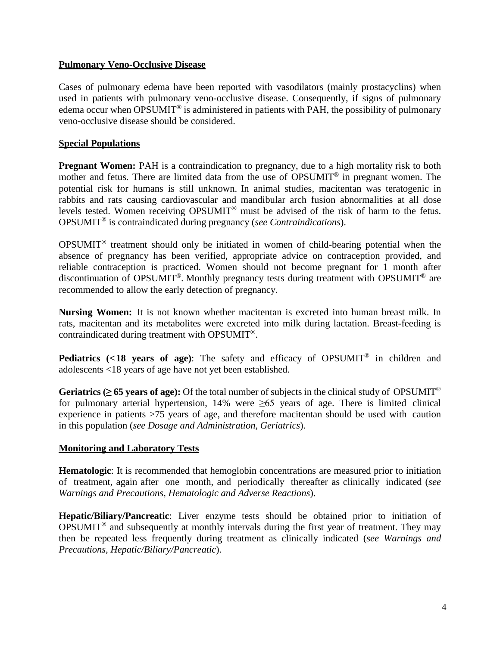#### **Pulmonary Veno-Occlusive Disease**

Cases of pulmonary edema have been reported with vasodilators (mainly prostacyclins) when used in patients with pulmonary veno-occlusive disease. Consequently, if signs of pulmonary edema occur when OPSUMIT<sup>®</sup> is administered in patients with PAH, the possibility of pulmonary veno-occlusive disease should be considered.

#### **Special Populations**

**Pregnant Women:** PAH is a contraindication to pregnancy, due to a high mortality risk to both mother and fetus. There are limited data from the use of OPSUMIT® in pregnant women. The potential risk for humans is still unknown. In animal studies, macitentan was teratogenic in rabbits and rats causing cardiovascular and mandibular arch fusion abnormalities at all dose levels tested. Women receiving OPSUMIT® must be advised of the risk of harm to the fetus. OPSUMIT® is contraindicated during pregnancy (*see Contraindications*).

OPSUMIT® treatment should only be initiated in women of child-bearing potential when the absence of pregnancy has been verified, appropriate advice on contraception provided, and reliable contraception is practiced. Women should not become pregnant for 1 month after discontinuation of OPSUMIT®. Monthly pregnancy tests during treatment with OPSUMIT® are recommended to allow the early detection of pregnancy.

**Nursing Women:** It is not known whether macitentan is excreted into human breast milk. In rats, macitentan and its metabolites were excreted into milk during lactation. Breast-feeding is contraindicated during treatment with OPSUMIT®.

**Pediatrics (<18 years of age)**: The safety and efficacy of OPSUMIT® in children and adolescents <18 years of age have not yet been established.

**Geriatrics** ( $\geq$  **65** years of age): Of the total number of subjects in the clinical study of OPSUMIT<sup>®</sup> for pulmonary arterial hypertension, 14% were  $\geq 65$  years of age. There is limited clinical experience in patients >75 years of age, and therefore macitentan should be used with caution in this population (*see Dosage and Administration, Geriatrics*).

## **Monitoring and Laboratory Tests**

**Hematologic**: It is recommended that hemoglobin concentrations are measured prior to initiation of treatment, again after one month, and periodically thereafter as clinically indicated (*see Warnings and Precautions, Hematologic and Adverse Reactions*).

**Hepatic/Biliary/Pancreatic**: Liver enzyme tests should be obtained prior to initiation of OPSUMIT® and subsequently at monthly intervals during the first year of treatment. They may then be repeated less frequently during treatment as clinically indicated (*see Warnings and Precautions, Hepatic/Biliary/Pancreatic*).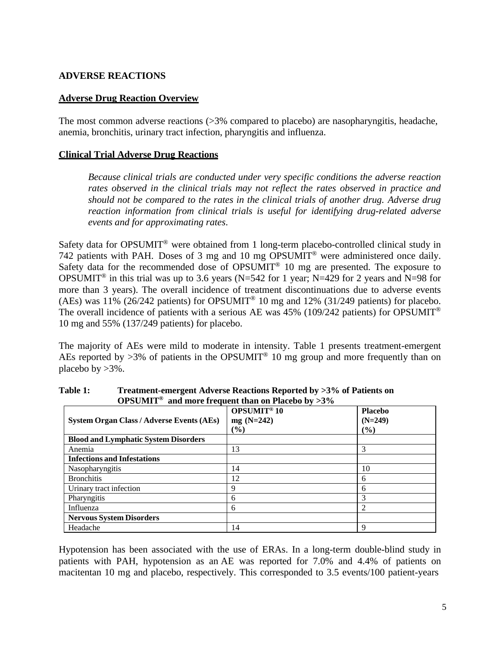#### **ADVERSE REACTIONS**

#### **Adverse Drug Reaction Overview**

The most common adverse reactions (>3% compared to placebo) are nasopharyngitis, headache, anemia, bronchitis, urinary tract infection, pharyngitis and influenza.

#### **Clinical Trial Adverse Drug Reactions**

*Because clinical trials are conducted under very specific conditions the adverse reaction rates observed in the clinical trials may not reflect the rates observed in practice and should not be compared to the rates in the clinical trials of another drug. Adverse drug reaction information from clinical trials is useful for identifying drug-related adverse events and for approximating rates*.

Safety data for OPSUMIT<sup>®</sup> were obtained from 1 long-term placebo-controlled clinical study in 742 patients with PAH. Doses of 3 mg and 10 mg OPSUMIT® were administered once daily. Safety data for the recommended dose of OPSUMIT<sup>®</sup> 10 mg are presented. The exposure to OPSUMIT<sup>®</sup> in this trial was up to 3.6 years (N=542 for 1 year; N=429 for 2 years and N=98 for more than 3 years). The overall incidence of treatment discontinuations due to adverse events (AEs) was 11% (26/242 patients) for OPSUMIT<sup>®</sup> 10 mg and 12% (31/249 patients) for placebo. The overall incidence of patients with a serious AE was  $45\%$  (109/242 patients) for OPSUMIT<sup>®</sup> 10 mg and 55% (137/249 patients) for placebo.

The majority of AEs were mild to moderate in intensity. Table 1 presents treatment-emergent AEs reported by  $>3\%$  of patients in the OPSUMIT<sup>®</sup> 10 mg group and more frequently than on placebo by  $>3\%$ .

| <b>System Organ Class / Adverse Events (AEs)</b> | <b>OPSUMIT<sup>®</sup>10</b><br>$mg(N=242)$<br>$(\%)$ | <b>Placebo</b><br>$(N=249)$<br>$(\%)$ |
|--------------------------------------------------|-------------------------------------------------------|---------------------------------------|
| <b>Blood and Lymphatic System Disorders</b>      |                                                       |                                       |
| Anemia                                           | 13                                                    | 3                                     |
| <b>Infections and Infestations</b>               |                                                       |                                       |
| Nasopharyngitis                                  | 14                                                    | 10                                    |
| <b>Bronchitis</b>                                | 12                                                    | 6                                     |
| Urinary tract infection                          | 9                                                     | 6                                     |
| Pharyngitis                                      | 6                                                     | 3                                     |
| Influenza                                        | 6                                                     | 2                                     |
| <b>Nervous System Disorders</b>                  |                                                       |                                       |
| Headache                                         | 14                                                    | 9                                     |

**Table 1: Treatment-emergent Adverse Reactions Reported by >3% of Patients on OPSUMIT® and more frequent than on Placebo by >3%**

Hypotension has been associated with the use of ERAs. In a long-term double-blind study in patients with PAH, hypotension as an AE was reported for 7.0% and 4.4% of patients on macitentan 10 mg and placebo, respectively. This corresponded to 3.5 events/100 patient-years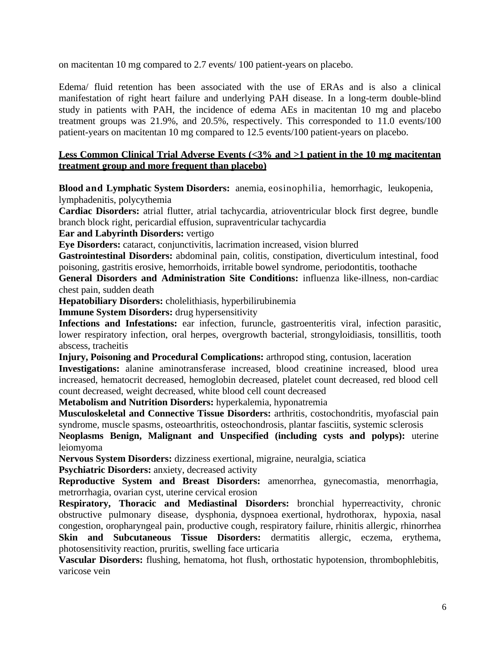on macitentan 10 mg compared to 2.7 events/ 100 patient-years on placebo.

Edema/ fluid retention has been associated with the use of ERAs and is also a clinical manifestation of right heart failure and underlying PAH disease. In a long-term double-blind study in patients with PAH, the incidence of edema AEs in macitentan 10 mg and placebo treatment groups was 21.9%, and 20.5%, respectively. This corresponded to 11.0 events/100 patient-years on macitentan 10 mg compared to 12.5 events/100 patient-years on placebo.

#### **Less Common Clinical Trial Adverse Events (<3% and >1 patient in the 10 mg macitentan treatment group and more frequent than placebo)**

**Blood and Lymphatic System Disorders:** anemia, eosinophilia, hemorrhagic, leukopenia, lymphadenitis, polycythemia

**Cardiac Disorders:** atrial flutter, atrial tachycardia, atrioventricular block first degree, bundle branch block right, pericardial effusion, supraventricular tachycardia

**Ear and Labyrinth Disorders:** vertigo

**Eye Disorders:** cataract, conjunctivitis, lacrimation increased, vision blurred

**Gastrointestinal Disorders:** abdominal pain, colitis, constipation, diverticulum intestinal, food poisoning, gastritis erosive, hemorrhoids, irritable bowel syndrome, periodontitis, toothache

**General Disorders and Administration Site Conditions:** influenza like-illness, non-cardiac chest pain, sudden death

**Hepatobiliary Disorders:** cholelithiasis, hyperbilirubinemia

**Immune System Disorders:** drug hypersensitivity

**Infections and Infestations:** ear infection, furuncle, gastroenteritis viral, infection parasitic, lower respiratory infection, oral herpes, overgrowth bacterial, strongyloidiasis, tonsillitis, tooth abscess, tracheitis

**Injury, Poisoning and Procedural Complications:** arthropod sting, contusion, laceration

**Investigations:** alanine aminotransferase increased, blood creatinine increased, blood urea increased, hematocrit decreased, hemoglobin decreased, platelet count decreased, red blood cell count decreased, weight decreased, white blood cell count decreased

**Metabolism and Nutrition Disorders:** hyperkalemia, hyponatremia

**Musculoskeletal and Connective Tissue Disorders:** arthritis, costochondritis, myofascial pain syndrome, muscle spasms, osteoarthritis, osteochondrosis, plantar fasciitis, systemic sclerosis

**Neoplasms Benign, Malignant and Unspecified (including cysts and polyps):** uterine leiomyoma

**Nervous System Disorders:** dizziness exertional, migraine, neuralgia, sciatica

**Psychiatric Disorders:** anxiety, decreased activity

**Reproductive System and Breast Disorders:** amenorrhea, gynecomastia, menorrhagia, metrorrhagia, ovarian cyst, uterine cervical erosion

**Respiratory, Thoracic and Mediastinal Disorders:** bronchial hyperreactivity, chronic obstructive pulmonary disease, dysphonia, dyspnoea exertional, hydrothorax, hypoxia, nasal congestion, oropharyngeal pain, productive cough, respiratory failure, rhinitis allergic, rhinorrhea **Skin and Subcutaneous Tissue Disorders:** dermatitis allergic, eczema, erythema, photosensitivity reaction, pruritis, swelling face urticaria

**Vascular Disorders:** flushing, hematoma, hot flush, orthostatic hypotension, thrombophlebitis, varicose vein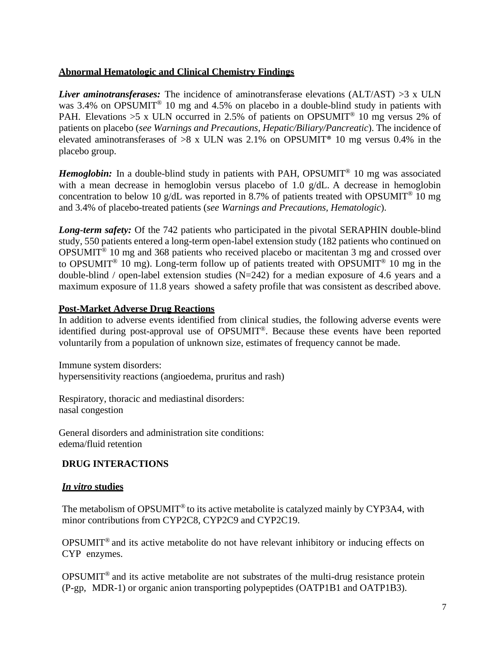## **Abnormal Hematologic and Clinical Chemistry Findings**

*Liver aminotransferases:* The incidence of aminotransferase elevations (ALT/AST) >3 x ULN was 3.4% on OPSUMIT<sup>®</sup> 10 mg and 4.5% on placebo in a double-blind study in patients with PAH. Elevations  $>5$  x ULN occurred in 2.5% of patients on OPSUMIT<sup>®</sup> 10 mg versus 2% of patients on placebo (*see Warnings and Precautions, Hepatic/Biliary/Pancreatic*). The incidence of elevated aminotransferases of  $>8 \times$  ULN was 2.1% on OPSUMIT<sup>®</sup> 10 mg versus 0.4% in the placebo group.

*Hemoglobin:* In a double-blind study in patients with PAH, OPSUMIT<sup>®</sup> 10 mg was associated with a mean decrease in hemoglobin versus placebo of 1.0 g/dL. A decrease in hemoglobin concentration to below 10 g/dL was reported in 8.7% of patients treated with OPSUMIT<sup>®</sup> 10 mg and 3.4% of placebo-treated patients (*see Warnings and Precautions, Hematologic*).

*Long-term safety:* Of the 742 patients who participated in the pivotal SERAPHIN double-blind study, 550 patients entered a long-term open-label extension study (182 patients who continued on OPSUMIT® 10 mg and 368 patients who received placebo or macitentan 3 mg and crossed over to OPSUMIT<sup>®</sup> 10 mg). Long-term follow up of patients treated with OPSUMIT<sup>®</sup> 10 mg in the double-blind / open-label extension studies  $(N=242)$  for a median exposure of 4.6 years and a maximum exposure of 11.8 years showed a safety profile that was consistent as described above.

#### **Post-Market Adverse Drug Reactions**

In addition to adverse events identified from clinical studies, the following adverse events were identified during post-approval use of OPSUMIT®. Because these events have been reported voluntarily from a population of unknown size, estimates of frequency cannot be made.

Immune system disorders: hypersensitivity reactions (angioedema, pruritus and rash)

Respiratory, thoracic and mediastinal disorders: nasal congestion

General disorders and administration site conditions: edema/fluid retention

## **DRUG INTERACTIONS**

## *In vitro* **studies**

The metabolism of OPSUMIT<sup>®</sup> to its active metabolite is catalyzed mainly by CYP3A4, with minor contributions from CYP2C8, CYP2C9 and CYP2C19.

OPSUMIT® and its active metabolite do not have relevant inhibitory or inducing effects on CYP enzymes.

OPSUMIT® and its active metabolite are not substrates of the multi-drug resistance protein (P-gp, MDR-1) or organic anion transporting polypeptides (OATP1B1 and OATP1B3).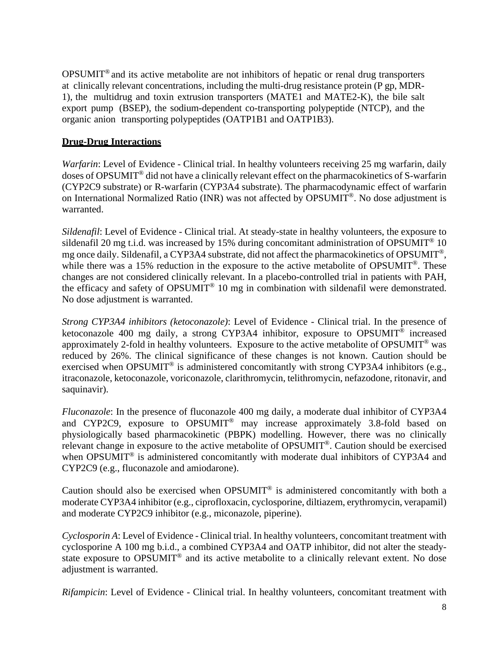OPSUMIT® and its active metabolite are not inhibitors of hepatic or renal drug transporters at clinically relevant concentrations, including the multi-drug resistance protein (P gp, MDR-1), the multidrug and toxin extrusion transporters (MATE1 and MATE2-K), the bile salt export pump (BSEP), the sodium-dependent co-transporting polypeptide (NTCP), and the organic anion transporting polypeptides (OATP1B1 and OATP1B3).

#### **Drug-Drug Interactions**

*Warfarin*: Level of Evidence - Clinical trial. In healthy volunteers receiving 25 mg warfarin, daily doses of OPSUMIT® did not have a clinically relevant effect on the pharmacokinetics of S-warfarin (CYP2C9 substrate) or R-warfarin (CYP3A4 substrate). The pharmacodynamic effect of warfarin on International Normalized Ratio (INR) was not affected by OPSUMIT®. No dose adjustment is warranted.

*Sildenafil*: Level of Evidence - Clinical trial. At steady-state in healthy volunteers, the exposure to sildenafil 20 mg t.i.d. was increased by 15% during concomitant administration of OPSUMIT<sup>®</sup> 10 mg once daily. Sildenafil, a CYP3A4 substrate, did not affect the pharmacokinetics of OPSUMIT®, while there was a 15% reduction in the exposure to the active metabolite of OPSUMIT<sup>®</sup>. These changes are not considered clinically relevant. In a placebo-controlled trial in patients with PAH, the efficacy and safety of OPSUMIT® 10 mg in combination with sildenafil were demonstrated. No dose adjustment is warranted.

*Strong CYP3A4 inhibitors (ketoconazole)*: Level of Evidence - Clinical trial. In the presence of ketoconazole 400 mg daily, a strong CYP3A4 inhibitor, exposure to OPSUMIT<sup>®</sup> increased approximately 2-fold in healthy volunteers. Exposure to the active metabolite of OPSUMIT® was reduced by 26%. The clinical significance of these changes is not known. Caution should be exercised when OPSUMIT<sup>®</sup> is administered concomitantly with strong CYP3A4 inhibitors (e.g., itraconazole, ketoconazole, voriconazole, clarithromycin, telithromycin, nefazodone, ritonavir, and saquinavir).

*Fluconazole*: In the presence of fluconazole 400 mg daily, a moderate dual inhibitor of CYP3A4 and CYP2C9, exposure to OPSUMIT® may increase approximately 3.8-fold based on physiologically based pharmacokinetic (PBPK) modelling. However, there was no clinically relevant change in exposure to the active metabolite of OPSUMIT®. Caution should be exercised when OPSUMIT<sup>®</sup> is administered concomitantly with moderate dual inhibitors of CYP3A4 and CYP2C9 (e.g., fluconazole and amiodarone).

Caution should also be exercised when OPSUMIT® is administered concomitantly with both a moderate CYP3A4 inhibitor (e.g., ciprofloxacin, cyclosporine, diltiazem, erythromycin, verapamil) and moderate CYP2C9 inhibitor (e.g., miconazole, piperine).

*Cyclosporin A*: Level of Evidence - Clinical trial. In healthy volunteers, concomitant treatment with cyclosporine A 100 mg b.i.d., a combined CYP3A4 and OATP inhibitor, did not alter the steadystate exposure to OPSUMIT<sup>®</sup> and its active metabolite to a clinically relevant extent. No dose adjustment is warranted.

*Rifampicin*: Level of Evidence - Clinical trial. In healthy volunteers, concomitant treatment with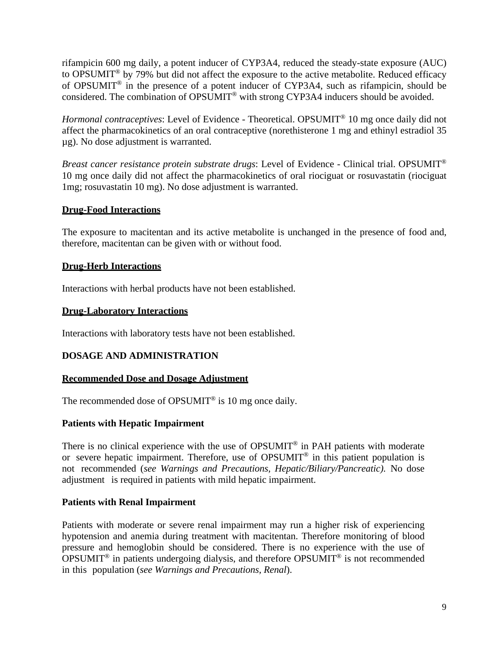rifampicin 600 mg daily, a potent inducer of CYP3A4, reduced the steady-state exposure (AUC) to OPSUMIT® by 79% but did not affect the exposure to the active metabolite. Reduced efficacy of OPSUMIT® in the presence of a potent inducer of CYP3A4, such as rifampicin, should be considered. The combination of OPSUMIT® with strong CYP3A4 inducers should be avoided.

*Hormonal contraceptives*: Level of Evidence - Theoretical. OPSUMIT<sup>®</sup> 10 mg once daily did not affect the pharmacokinetics of an oral contraceptive (norethisterone 1 mg and ethinyl estradiol 35 µg). No dose adjustment is warranted.

*Breast cancer resistance protein substrate drugs*: Level of Evidence - Clinical trial. OPSUMIT® 10 mg once daily did not affect the pharmacokinetics of oral riociguat or rosuvastatin (riociguat 1mg; rosuvastatin 10 mg). No dose adjustment is warranted.

## **Drug-Food Interactions**

The exposure to macitentan and its active metabolite is unchanged in the presence of food and, therefore, macitentan can be given with or without food.

#### **Drug-Herb Interactions**

Interactions with herbal products have not been established.

#### **Drug-Laboratory Interactions**

Interactions with laboratory tests have not been established.

#### **DOSAGE AND ADMINISTRATION**

#### **Recommended Dose and Dosage Adjustment**

The recommended dose of OPSUMIT<sup>®</sup> is 10 mg once daily.

#### **Patients with Hepatic Impairment**

There is no clinical experience with the use of OPSUMIT<sup>®</sup> in PAH patients with moderate or severe hepatic impairment. Therefore, use of OPSUMIT® in this patient population is not recommended (*see Warnings and Precautions, Hepatic/Biliary/Pancreatic).* No dose adjustment is required in patients with mild hepatic impairment.

#### **Patients with Renal Impairment**

Patients with moderate or severe renal impairment may run a higher risk of experiencing hypotension and anemia during treatment with macitentan. Therefore monitoring of blood pressure and hemoglobin should be considered. There is no experience with the use of OPSUMIT® in patients undergoing dialysis, and therefore OPSUMIT® is not recommended in this population (*see Warnings and Precautions, Renal*).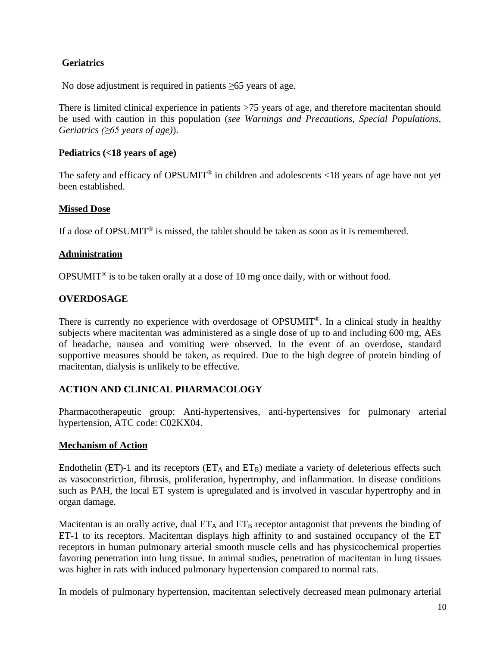## **Geriatrics**

No dose adjustment is required in patients ≥65 years of age.

There is limited clinical experience in patients >75 years of age, and therefore macitentan should be used with caution in this population (*see Warnings and Precautions, Special Populations, Geriatrics (≥65 years of age)*).

## **Pediatrics (<18 years of age)**

The safety and efficacy of OPSUMIT<sup>®</sup> in children and adolescents  $\langle 18 \rangle$  years of age have not yet been established.

## **Missed Dose**

If a dose of OPSUMIT® is missed, the tablet should be taken as soon as it is remembered.

## **Administration**

OPSUMIT<sup>®</sup> is to be taken orally at a dose of 10 mg once daily, with or without food.

## **OVERDOSAGE**

There is currently no experience with overdosage of OPSUMIT<sup>®</sup>. In a clinical study in healthy subjects where macitentan was administered as a single dose of up to and including 600 mg, AEs of headache, nausea and vomiting were observed. In the event of an overdose, standard supportive measures should be taken, as required. Due to the high degree of protein binding of macitentan, dialysis is unlikely to be effective.

## **ACTION AND CLINICAL PHARMACOLOGY**

Pharmacotherapeutic group: Anti-hypertensives, anti-hypertensives for pulmonary arterial hypertension, ATC code: C02KX04.

## **Mechanism of Action**

Endothelin (ET)-1 and its receptors ( $ET_A$  and  $ET_B$ ) mediate a variety of deleterious effects such as vasoconstriction, fibrosis, proliferation, hypertrophy, and inflammation. In disease conditions such as PAH, the local ET system is upregulated and is involved in vascular hypertrophy and in organ damage.

Macitentan is an orally active, dual  $ET_A$  and  $ET_B$  receptor antagonist that prevents the binding of ET-1 to its receptors. Macitentan displays high affinity to and sustained occupancy of the ET receptors in human pulmonary arterial smooth muscle cells and has physicochemical properties favoring penetration into lung tissue. In animal studies, penetration of macitentan in lung tissues was higher in rats with induced pulmonary hypertension compared to normal rats.

In models of pulmonary hypertension, macitentan selectively decreased mean pulmonary arterial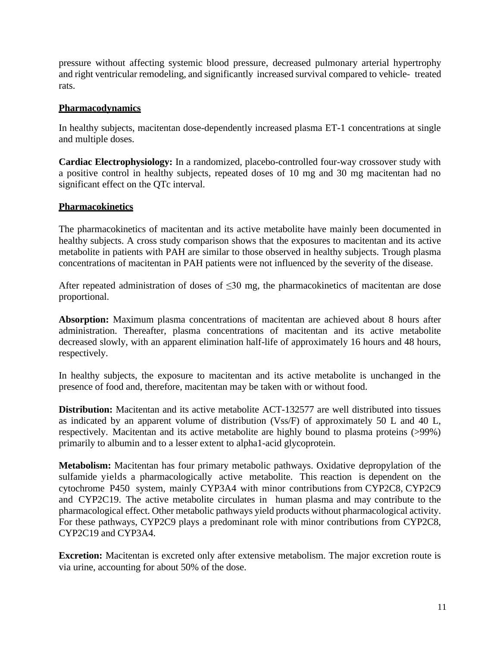pressure without affecting systemic blood pressure, decreased pulmonary arterial hypertrophy and right ventricular remodeling, and significantly increased survival compared to vehicle- treated rats.

#### **Pharmacodynamics**

In healthy subjects, macitentan dose-dependently increased plasma ET-1 concentrations at single and multiple doses.

**Cardiac Electrophysiology:** In a randomized, placebo-controlled four-way crossover study with a positive control in healthy subjects, repeated doses of 10 mg and 30 mg macitentan had no significant effect on the QTc interval.

#### **Pharmacokinetics**

The pharmacokinetics of macitentan and its active metabolite have mainly been documented in healthy subjects. A cross study comparison shows that the exposures to macitentan and its active metabolite in patients with PAH are similar to those observed in healthy subjects. Trough plasma concentrations of macitentan in PAH patients were not influenced by the severity of the disease.

After repeated administration of doses of  $\leq 30$  mg, the pharmacokinetics of macitentan are dose proportional.

**Absorption:** Maximum plasma concentrations of macitentan are achieved about 8 hours after administration. Thereafter, plasma concentrations of macitentan and its active metabolite decreased slowly, with an apparent elimination half-life of approximately 16 hours and 48 hours, respectively.

In healthy subjects, the exposure to macitentan and its active metabolite is unchanged in the presence of food and, therefore, macitentan may be taken with or without food.

**Distribution:** Macitentan and its active metabolite ACT-132577 are well distributed into tissues as indicated by an apparent volume of distribution (Vss/F) of approximately 50 L and 40 L, respectively. Macitentan and its active metabolite are highly bound to plasma proteins (>99%) primarily to albumin and to a lesser extent to alpha1-acid glycoprotein.

**Metabolism:** Macitentan has four primary metabolic pathways. Oxidative depropylation of the sulfamide yields a pharmacologically active metabolite. This reaction is dependent on the cytochrome P450 system, mainly CYP3A4 with minor contributions from CYP2C8, CYP2C9 and CYP2C19. The active metabolite circulates in human plasma and may contribute to the pharmacological effect. Other metabolic pathways yield products without pharmacological activity. For these pathways, CYP2C9 plays a predominant role with minor contributions from CYP2C8, CYP2C19 and CYP3A4.

**Excretion:** Macitentan is excreted only after extensive metabolism. The major excretion route is via urine, accounting for about 50% of the dose.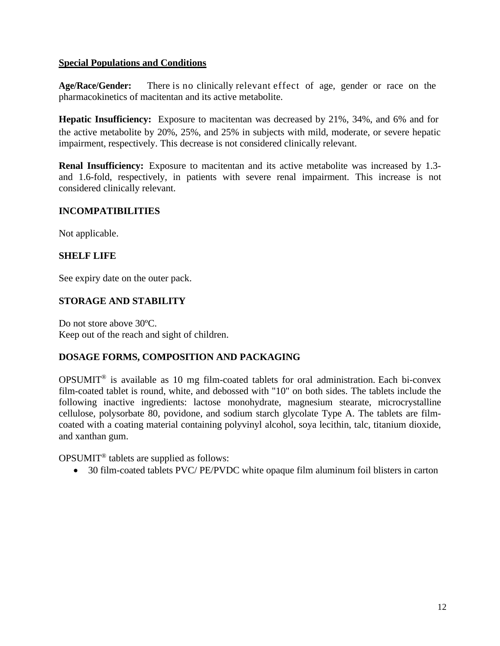## **Special Populations and Conditions**

**Age/Race/Gender:** There is no clinically relevant effect of age, gender or race on the pharmacokinetics of macitentan and its active metabolite.

**Hepatic Insufficiency:** Exposure to macitentan was decreased by 21%, 34%, and 6% and for the active metabolite by 20%, 25%, and 25% in subjects with mild, moderate, or severe hepatic impairment, respectively. This decrease is not considered clinically relevant.

**Renal Insufficiency:** Exposure to macitentan and its active metabolite was increased by 1.3 and 1.6-fold, respectively, in patients with severe renal impairment. This increase is not considered clinically relevant.

## **INCOMPATIBILITIES**

Not applicable.

## **SHELF LIFE**

See expiry date on the outer pack.

## **STORAGE AND STABILITY**

Do not store above 30ºC. Keep out of the reach and sight of children.

## **DOSAGE FORMS, COMPOSITION AND PACKAGING**

OPSUMIT® is available as 10 mg film-coated tablets for oral administration. Each bi-convex film-coated tablet is round, white, and debossed with "10" on both sides. The tablets include the following inactive ingredients: lactose monohydrate, magnesium stearate, microcrystalline cellulose, polysorbate 80, povidone, and sodium starch glycolate Type A. The tablets are filmcoated with a coating material containing polyvinyl alcohol, soya lecithin, talc, titanium dioxide, and xanthan gum.

OPSUMIT® tablets are supplied as follows:

• 30 film-coated tablets PVC/ PE/PVDC white opaque film aluminum foil blisters in carton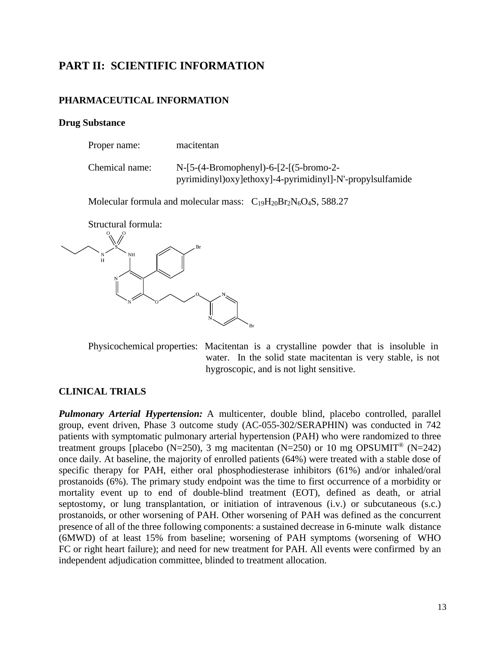## **PART II: SCIENTIFIC INFORMATION**

#### **PHARMACEUTICAL INFORMATION**

#### **Drug Substance**

| Proper name:   | macitentan                                                                                                 |
|----------------|------------------------------------------------------------------------------------------------------------|
| Chemical name: | $N-[5-(4-Bromophenyl)-6-[2-[(5-bromo-2-$<br>pyrimidinyl) oxy lethoxy l-4-pyrimidinyl l-N'-propyl sulfamide |

Molecular formula and molecular mass:  $C_{19}H_{20}Br_2N_6O_4S$ , 588.27

Structural formula:



Physicochemical properties: Macitentan is a crystalline powder that is insoluble in water. In the solid state macitentan is very stable, is not hygroscopic, and is not light sensitive.

#### **CLINICAL TRIALS**

*Pulmonary Arterial Hypertension:* A multicenter, double blind, placebo controlled, parallel group, event driven, Phase 3 outcome study (AC-055-302/SERAPHIN) was conducted in 742 patients with symptomatic pulmonary arterial hypertension (PAH) who were randomized to three treatment groups [placebo (N=250), 3 mg macitentan (N=250) or 10 mg OPSUMIT<sup>®</sup> (N=242) once daily. At baseline, the majority of enrolled patients (64%) were treated with a stable dose of specific therapy for PAH, either oral phosphodiesterase inhibitors (61%) and/or inhaled/oral prostanoids (6%). The primary study endpoint was the time to first occurrence of a morbidity or mortality event up to end of double-blind treatment (EOT), defined as death, or atrial septostomy, or lung transplantation, or initiation of intravenous (i.v.) or subcutaneous (s.c.) prostanoids, or other worsening of PAH. Other worsening of PAH was defined as the concurrent presence of all of the three following components: a sustained decrease in 6-minute walk distance (6MWD) of at least 15% from baseline; worsening of PAH symptoms (worsening of WHO FC or right heart failure); and need for new treatment for PAH. All events were confirmed by an independent adjudication committee, blinded to treatment allocation.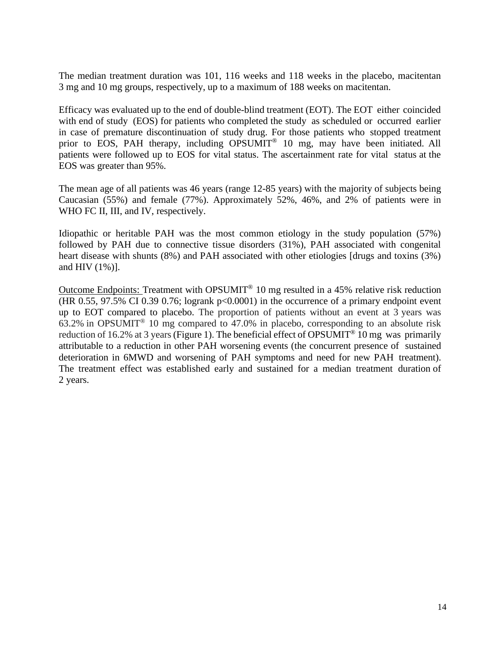The median treatment duration was 101, 116 weeks and 118 weeks in the placebo, macitentan 3 mg and 10 mg groups, respectively, up to a maximum of 188 weeks on macitentan.

Efficacy was evaluated up to the end of double-blind treatment (EOT). The EOT either coincided with end of study (EOS) for patients who completed the study as scheduled or occurred earlier in case of premature discontinuation of study drug. For those patients who stopped treatment prior to EOS, PAH therapy, including OPSUMIT<sup>®</sup> 10 mg, may have been initiated. All patients were followed up to EOS for vital status. The ascertainment rate for vital status at the EOS was greater than 95%.

The mean age of all patients was 46 years (range 12-85 years) with the majority of subjects being Caucasian (55%) and female (77%). Approximately 52%, 46%, and 2% of patients were in WHO FC II, III, and IV, respectively.

Idiopathic or heritable PAH was the most common etiology in the study population (57%) followed by PAH due to connective tissue disorders (31%), PAH associated with congenital heart disease with shunts (8%) and PAH associated with other etiologies [drugs and toxins (3%) and HIV (1%)].

Outcome Endpoints: Treatment with OPSUMIT® 10 mg resulted in a 45% relative risk reduction (HR 0.55, 97.5% CI 0.39 0.76; logrank  $p<0.0001$ ) in the occurrence of a primary endpoint event up to EOT compared to placebo. The proportion of patients without an event at 3 years was 63.2% in OPSUMIT® 10 mg compared to 47.0% in placebo, corresponding to an absolute risk reduction of 16.2% at 3 years (Figure 1). The beneficial effect of OPSUMIT<sup>®</sup> 10 mg was primarily attributable to a reduction in other PAH worsening events (the concurrent presence of sustained deterioration in 6MWD and worsening of PAH symptoms and need for new PAH treatment). The treatment effect was established early and sustained for a median treatment duration of 2 years.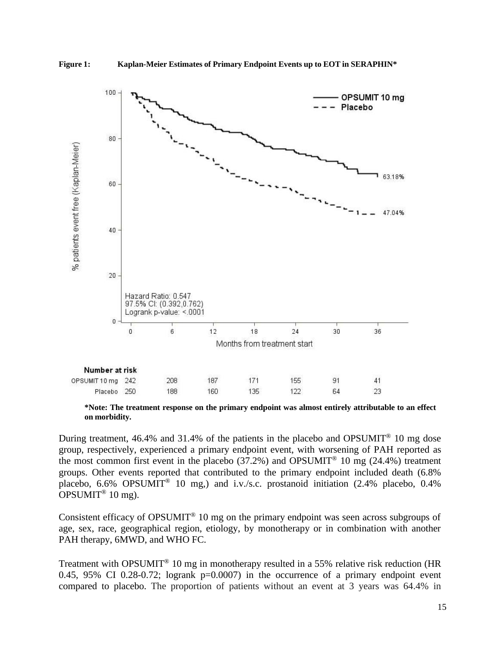



**\*Note: The treatment response on the primary endpoint was almost entirely attributable to an effect on morbidity.**

During treatment, 46.4% and 31.4% of the patients in the placebo and OPSUMIT<sup>®</sup> 10 mg dose group, respectively, experienced a primary endpoint event, with worsening of PAH reported as the most common first event in the placebo (37.2%) and OPSUMIT<sup>®</sup> 10 mg (24.4%) treatment groups. Other events reported that contributed to the primary endpoint included death (6.8% placebo, 6.6% OPSUMIT<sup>®</sup> 10 mg,) and i.v./s.c. prostanoid initiation  $(2.4\%$  placebo, 0.4% OPSUMIT<sup>®</sup> 10 mg).

Consistent efficacy of OPSUMIT<sup>®</sup> 10 mg on the primary endpoint was seen across subgroups of age, sex, race, geographical region, etiology, by monotherapy or in combination with another PAH therapy, 6MWD, and WHO FC.

Treatment with OPSUMIT® 10 mg in monotherapy resulted in a 55% relative risk reduction (HR 0.45, 95% CI 0.28-0.72; logrank  $p=0.0007$  in the occurrence of a primary endpoint event compared to placebo. The proportion of patients without an event at 3 years was 64.4% in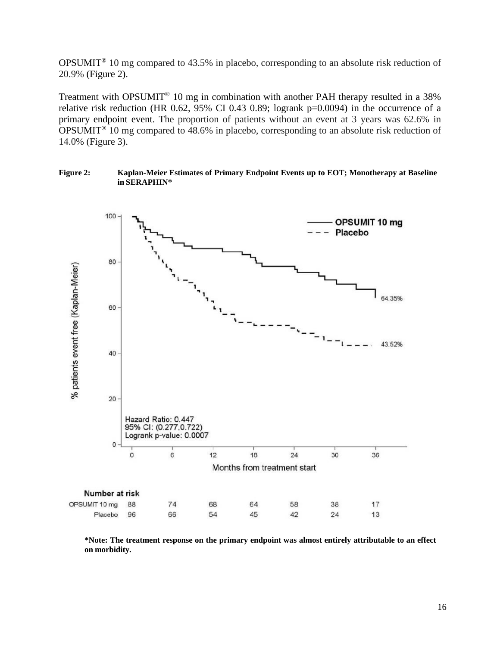OPSUMIT® 10 mg compared to 43.5% in placebo, corresponding to an absolute risk reduction of 20.9% (Figure 2).

Treatment with OPSUMIT® 10 mg in combination with another PAH therapy resulted in a 38% relative risk reduction (HR 0.62, 95% CI 0.43 0.89; logrank  $p=0.0094$ ) in the occurrence of a primary endpoint event. The proportion of patients without an event at 3 years was 62.6% in OPSUMIT® 10 mg compared to 48.6% in placebo, corresponding to an absolute risk reduction of 14.0% (Figure 3).





**\*Note: The treatment response on the primary endpoint was almost entirely attributable to an effect on morbidity.**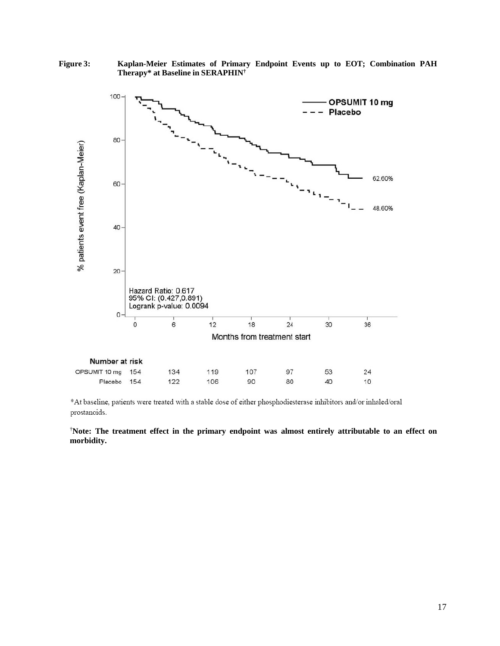

**Figure 3: Kaplan-Meier Estimates of Primary Endpoint Events up to EOT; Combination PAH Therapy\* at Baseline in SERAPHIN†**

\*At baseline, patients were treated with a stable dose of either phosphodiesterase inhibitors and/or inhaled/oral prostanoids.

† **Note: The treatment effect in the primary endpoint was almost entirely attributable to an effect on morbidity.**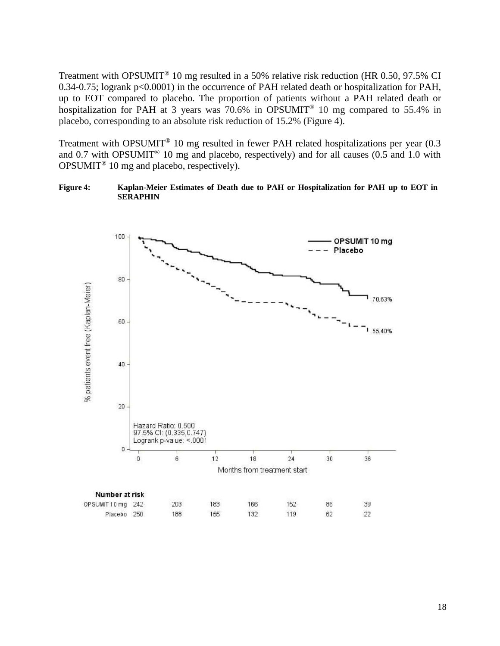Treatment with OPSUMIT® 10 mg resulted in a 50% relative risk reduction (HR 0.50, 97.5% CI 0.34-0.75; logrank p<0.0001) in the occurrence of PAH related death or hospitalization for PAH, up to EOT compared to placebo. The proportion of patients without a PAH related death or hospitalization for PAH at 3 years was  $70.6\%$  in OPSUMIT<sup>®</sup> 10 mg compared to 55.4% in placebo, corresponding to an absolute risk reduction of 15.2% (Figure 4).

Treatment with OPSUMIT® 10 mg resulted in fewer PAH related hospitalizations per year (0.3 and 0.7 with OPSUMIT<sup>®</sup> 10 mg and placebo, respectively) and for all causes  $(0.5 \text{ and } 1.0 \text{ with})$ OPSUMIT® 10 mg and placebo, respectively).

**Figure 4: Kaplan-Meier Estimates of Death due to PAH or Hospitalization for PAH up to EOT in SERAPHIN**

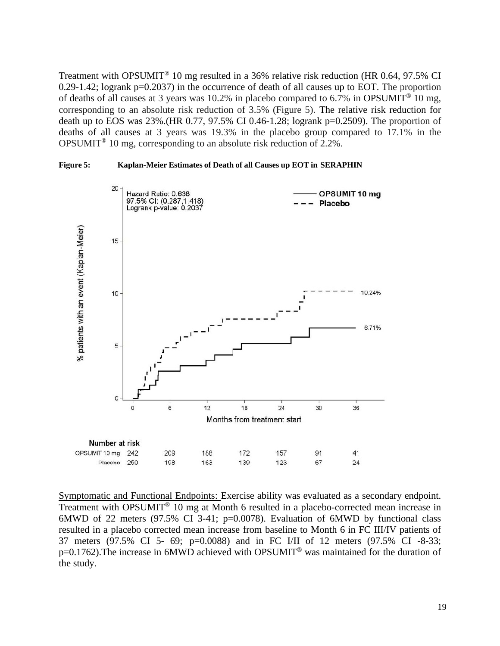Treatment with OPSUMIT® 10 mg resulted in a 36% relative risk reduction (HR 0.64, 97.5% CI 0.29-1.42; logrank p=0.2037) in the occurrence of death of all causes up to EOT. The proportion of deaths of all causes at 3 years was 10.2% in placebo compared to 6.7% in OPSUMIT<sup>®</sup> 10 mg, corresponding to an absolute risk reduction of 3.5% (Figure 5). The relative risk reduction for death up to EOS was 23%.(HR 0.77, 97.5% CI 0.46-1.28; logrank p=0.2509). The proportion of deaths of all causes at 3 years was 19.3% in the placebo group compared to 17.1% in the OPSUMIT® 10 mg, corresponding to an absolute risk reduction of 2.2%.





Symptomatic and Functional Endpoints: Exercise ability was evaluated as a secondary endpoint. Treatment with OPSUMIT® 10 mg at Month 6 resulted in a placebo-corrected mean increase in 6MWD of 22 meters (97.5% CI 3-41; p=0.0078). Evaluation of 6MWD by functional class resulted in a placebo corrected mean increase from baseline to Month 6 in FC III/IV patients of 37 meters (97.5% CI 5- 69; p=0.0088) and in FC I/II of 12 meters (97.5% CI -8-33; p=0.1762).The increase in 6MWD achieved with OPSUMIT® was maintained for the duration of the study.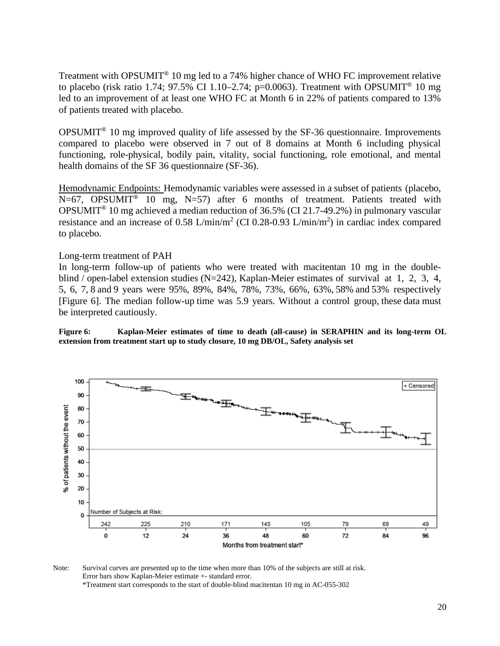Treatment with OPSUMIT® 10 mg led to a 74% higher chance of WHO FC improvement relative to placebo (risk ratio 1.74; 97.5% CI 1.10–2.74; p=0.0063). Treatment with OPSUMIT<sup>®</sup> 10 mg led to an improvement of at least one WHO FC at Month 6 in 22% of patients compared to 13% of patients treated with placebo.

OPSUMIT® 10 mg improved quality of life assessed by the SF-36 questionnaire. Improvements compared to placebo were observed in 7 out of 8 domains at Month 6 including physical functioning, role-physical, bodily pain, vitality, social functioning, role emotional, and mental health domains of the SF 36 questionnaire (SF-36).

Hemodynamic Endpoints: Hemodynamic variables were assessed in a subset of patients (placebo,  $N=67$ , OPSUMIT<sup>®</sup> 10 mg, N=57) after 6 months of treatment. Patients treated with OPSUMIT® 10 mg achieved a median reduction of 36.5% (CI 21.7-49.2%) in pulmonary vascular resistance and an increase of 0.58 L/min/m<sup>2</sup> (CI 0.28-0.93 L/min/m<sup>2</sup>) in cardiac index compared to placebo.

#### Long-term treatment of PAH

In long-term follow-up of patients who were treated with macitentan 10 mg in the doubleblind / open-label extension studies (N=242), Kaplan-Meier estimates of survival at 1, 2, 3, 4, 5, 6, 7, 8 and 9 years were 95%, 89%, 84%, 78%, 73%, 66%, 63%, 58% and 53% respectively [Figure 6]. The median follow-up time was 5.9 years. Without a control group, these data must be interpreted cautiously.

**Figure 6: Kaplan-Meier estimates of time to death (all-cause) in SERAPHIN and its long-term OL extension from treatment start up to study closure, 10 mg DB/OL, Safety analysis set**



Note: Survival curves are presented up to the time when more than 10% of the subjects are still at risk. Error bars show Kaplan-Meier estimate +- standard error. \*Treatment start corresponds to the start of double-blind macitentan 10 mg in AC-055-302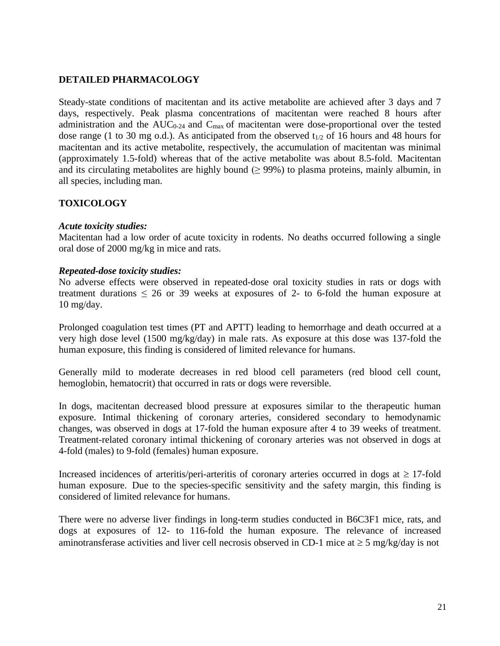## **DETAILED PHARMACOLOGY**

Steady-state conditions of macitentan and its active metabolite are achieved after 3 days and 7 days, respectively. Peak plasma concentrations of macitentan were reached 8 hours after administration and the  $AUC_{0-24}$  and  $C_{max}$  of macitentan were dose-proportional over the tested dose range (1 to 30 mg o.d.). As anticipated from the observed  $t_{1/2}$  of 16 hours and 48 hours for macitentan and its active metabolite, respectively, the accumulation of macitentan was minimal (approximately 1.5-fold) whereas that of the active metabolite was about 8.5-fold. Macitentan and its circulating metabolites are highly bound ( $\geq$  99%) to plasma proteins, mainly albumin, in all species, including man.

## **TOXICOLOGY**

#### *Acute toxicity studies:*

Macitentan had a low order of acute toxicity in rodents. No deaths occurred following a single oral dose of 2000 mg/kg in mice and rats.

#### *Repeated-dose toxicity studies:*

No adverse effects were observed in repeated-dose oral toxicity studies in rats or dogs with treatment durations  $\leq 26$  or 39 weeks at exposures of 2- to 6-fold the human exposure at 10 mg/day.

Prolonged coagulation test times (PT and APTT) leading to hemorrhage and death occurred at a very high dose level (1500 mg/kg/day) in male rats. As exposure at this dose was 137-fold the human exposure, this finding is considered of limited relevance for humans.

Generally mild to moderate decreases in red blood cell parameters (red blood cell count, hemoglobin, hematocrit) that occurred in rats or dogs were reversible.

In dogs, macitentan decreased blood pressure at exposures similar to the therapeutic human exposure. Intimal thickening of coronary arteries, considered secondary to hemodynamic changes, was observed in dogs at 17-fold the human exposure after 4 to 39 weeks of treatment. Treatment-related coronary intimal thickening of coronary arteries was not observed in dogs at 4-fold (males) to 9-fold (females) human exposure.

Increased incidences of arteritis/peri-arteritis of coronary arteries occurred in dogs at  $\geq$  17-fold human exposure. Due to the species-specific sensitivity and the safety margin, this finding is considered of limited relevance for humans.

There were no adverse liver findings in long-term studies conducted in B6C3F1 mice, rats, and dogs at exposures of 12- to 116-fold the human exposure. The relevance of increased aminotransferase activities and liver cell necrosis observed in CD-1 mice at  $\geq$  5 mg/kg/day is not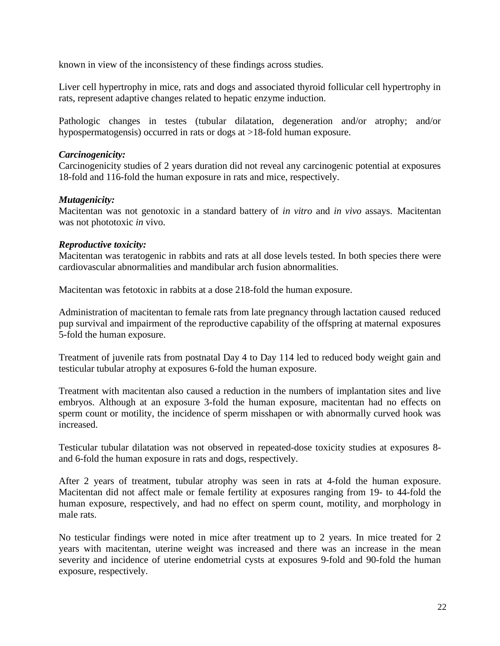known in view of the inconsistency of these findings across studies.

Liver cell hypertrophy in mice, rats and dogs and associated thyroid follicular cell hypertrophy in rats, represent adaptive changes related to hepatic enzyme induction.

Pathologic changes in testes (tubular dilatation, degeneration and/or atrophy; and/or hypospermatogensis) occurred in rats or dogs at >18-fold human exposure.

#### *Carcinogenicity:*

Carcinogenicity studies of 2 years duration did not reveal any carcinogenic potential at exposures 18-fold and 116-fold the human exposure in rats and mice, respectively.

#### *Mutagenicity:*

Macitentan was not genotoxic in a standard battery of *in vitro* and *in vivo* assays. Macitentan was not phototoxic *in* vivo.

#### *Reproductive toxicity:*

Macitentan was teratogenic in rabbits and rats at all dose levels tested. In both species there were cardiovascular abnormalities and mandibular arch fusion abnormalities.

Macitentan was fetotoxic in rabbits at a dose 218-fold the human exposure.

Administration of macitentan to female rats from late pregnancy through lactation caused reduced pup survival and impairment of the reproductive capability of the offspring at maternal exposures 5-fold the human exposure.

Treatment of juvenile rats from postnatal Day 4 to Day 114 led to reduced body weight gain and testicular tubular atrophy at exposures 6-fold the human exposure.

Treatment with macitentan also caused a reduction in the numbers of implantation sites and live embryos. Although at an exposure 3-fold the human exposure, macitentan had no effects on sperm count or motility, the incidence of sperm misshapen or with abnormally curved hook was increased.

Testicular tubular dilatation was not observed in repeated-dose toxicity studies at exposures 8 and 6-fold the human exposure in rats and dogs, respectively.

After 2 years of treatment, tubular atrophy was seen in rats at 4-fold the human exposure. Macitentan did not affect male or female fertility at exposures ranging from 19- to 44-fold the human exposure, respectively, and had no effect on sperm count, motility, and morphology in male rats.

No testicular findings were noted in mice after treatment up to 2 years. In mice treated for 2 years with macitentan, uterine weight was increased and there was an increase in the mean severity and incidence of uterine endometrial cysts at exposures 9-fold and 90-fold the human exposure, respectively.